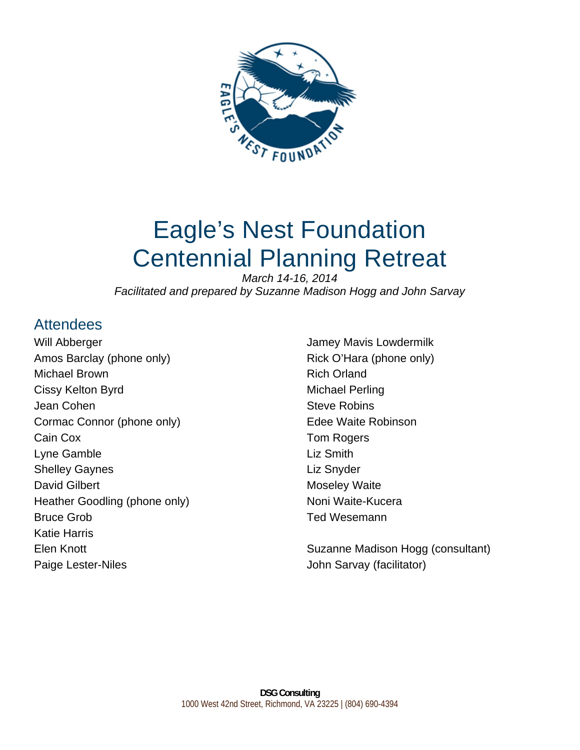

# Eagle's Nest Foundation Centennial Planning Retreat

*March 14-16, 2014 Facilitated and prepared by Suzanne Madison Hogg and John Sarvay* 

## **Attendees**

Will Abberger Amos Barclay (phone only) Michael Brown Cissy Kelton Byrd Jean Cohen Cormac Connor (phone only) Cain Cox Lyne Gamble Shelley Gaynes David Gilbert Heather Goodling (phone only) Bruce Grob Katie Harris Elen Knott Paige Lester-Niles

Jamey Mavis Lowdermilk Rick O'Hara (phone only) Rich Orland Michael Perling Steve Robins Edee Waite Robinson Tom Rogers Liz Smith Liz Snyder Moseley Waite Noni Waite-Kucera Ted Wesemann

Suzanne Madison Hogg (consultant) John Sarvay (facilitator)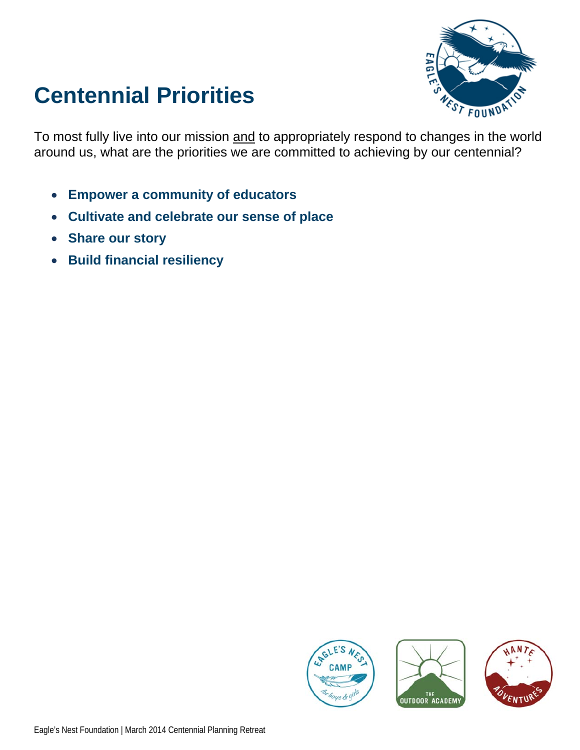# **Centennial Priorities**



To most fully live into our mission and to appropriately respond to changes in the world around us, what are the priorities we are committed to achieving by our centennial?

- **Empower a community of educators**
- **Cultivate and celebrate our sense of place**
- **Share our story**
- **Build financial resiliency**





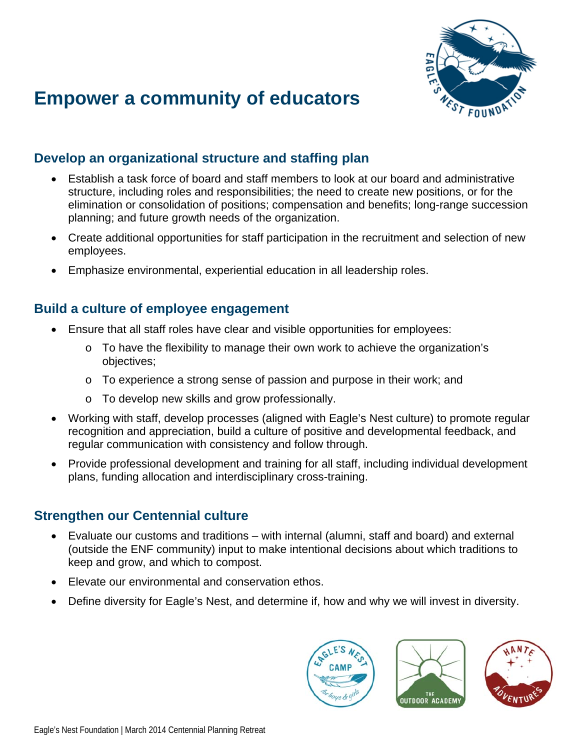

# **Empower a community of educators**

#### **Develop an organizational structure and staffing plan**

- Establish a task force of board and staff members to look at our board and administrative structure, including roles and responsibilities; the need to create new positions, or for the elimination or consolidation of positions; compensation and benefits; long-range succession planning; and future growth needs of the organization.
- Create additional opportunities for staff participation in the recruitment and selection of new employees.
- Emphasize environmental, experiential education in all leadership roles.

#### **Build a culture of employee engagement**

- Ensure that all staff roles have clear and visible opportunities for employees:
	- o To have the flexibility to manage their own work to achieve the organization's objectives;
	- o To experience a strong sense of passion and purpose in their work; and
	- o To develop new skills and grow professionally.
- Working with staff, develop processes (aligned with Eagle's Nest culture) to promote regular recognition and appreciation, build a culture of positive and developmental feedback, and regular communication with consistency and follow through.
- Provide professional development and training for all staff, including individual development plans, funding allocation and interdisciplinary cross-training.

#### **Strengthen our Centennial culture**

- Evaluate our customs and traditions with internal (alumni, staff and board) and external (outside the ENF community) input to make intentional decisions about which traditions to keep and grow, and which to compost.
- Elevate our environmental and conservation ethos.
- Define diversity for Eagle's Nest, and determine if, how and why we will invest in diversity.

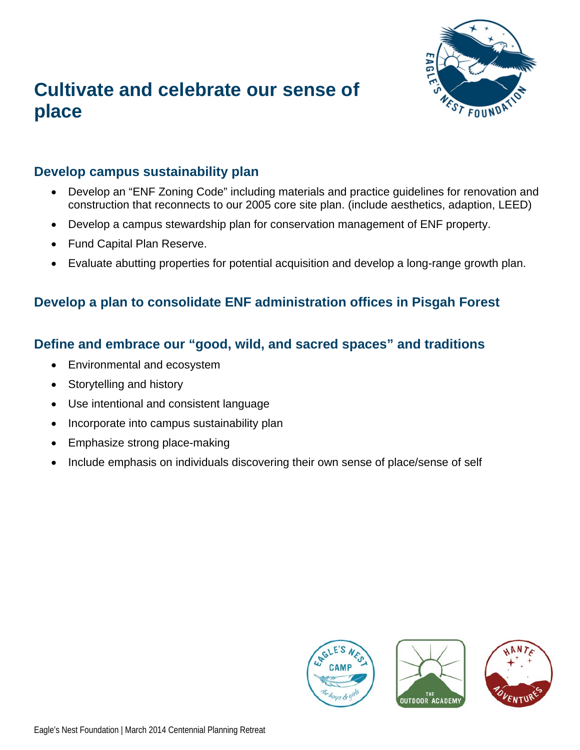

## **Cultivate and celebrate our sense of place**

#### **Develop campus sustainability plan**

- Develop an "ENF Zoning Code" including materials and practice guidelines for renovation and construction that reconnects to our 2005 core site plan. (include aesthetics, adaption, LEED)
- Develop a campus stewardship plan for conservation management of ENF property.
- Fund Capital Plan Reserve.
- Evaluate abutting properties for potential acquisition and develop a long-range growth plan.

#### **Develop a plan to consolidate ENF administration offices in Pisgah Forest**

#### **Define and embrace our "good, wild, and sacred spaces" and traditions**

- Environmental and ecosystem
- Storytelling and history
- Use intentional and consistent language
- Incorporate into campus sustainability plan
- Emphasize strong place-making
- Include emphasis on individuals discovering their own sense of place/sense of self





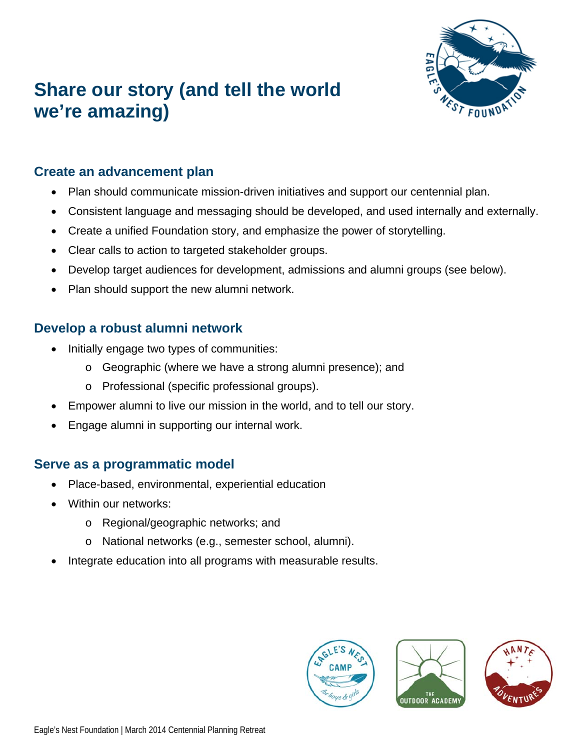# **Share our story (and tell the world we're amazing)**



### **Create an advancement plan**

- Plan should communicate mission-driven initiatives and support our centennial plan.
- Consistent language and messaging should be developed, and used internally and externally.
- Create a unified Foundation story, and emphasize the power of storytelling.
- Clear calls to action to targeted stakeholder groups.
- Develop target audiences for development, admissions and alumni groups (see below).
- Plan should support the new alumni network.

### **Develop a robust alumni network**

- Initially engage two types of communities:
	- o Geographic (where we have a strong alumni presence); and
	- o Professional (specific professional groups).
- Empower alumni to live our mission in the world, and to tell our story.
- Engage alumni in supporting our internal work.

### **Serve as a programmatic model**

- Place-based, environmental, experiential education
- Within our networks:
	- o Regional/geographic networks; and
	- o National networks (e.g., semester school, alumni).
- Integrate education into all programs with measurable results.